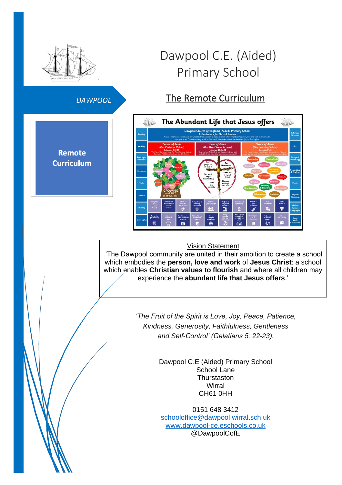

## *DAWPOOL*

**Remote Curriculum** 

# Dawpool C.E. (Aided) Primary School

# The Remote Curriculum



#### Vision Statement

'The Dawpool community are united in their ambition to create a school which embodies the **person, love and work** of **Jesus Christ**: a school which enables **Christian values to flourish** and where all children may experience the **abundant life that Jesus offers**.'

> *'The Fruit of the Spirit is Love, Joy, Peace, Patience, Kindness, Generosity, Faithfulness, Gentleness and Self-Control' (Galatians 5: 22-23).*

> > Dawpool C.E (Aided) Primary School School Lane **Thurstaston Wirral** CH61 0HH

0151 648 3412 [schooloffice@dawpool.wirral.sch.uk](mailto:schooloffice@dawpool.wirral.sch.uk) [www.dawpool-ce.eschools.co.uk](http://www.dawpool-ce.eschools.co.uk/) @DawpoolCofE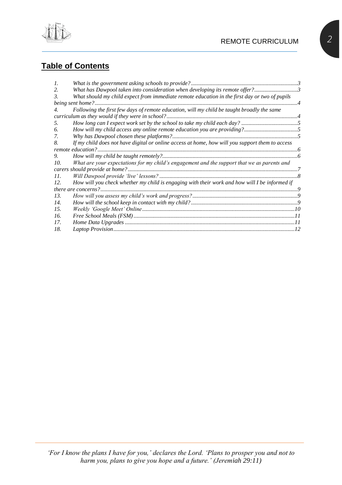

# **Table of Contents**

| $\mathcal{I}$ . |                                                                                                 |  |
|-----------------|-------------------------------------------------------------------------------------------------|--|
| 2.              | What has Dawpool taken into consideration when developing its remote offer?3                    |  |
| 3.              | What should my child expect from immediate remote education in the first day or two of pupils   |  |
|                 |                                                                                                 |  |
| 4.              | Following the first few days of remote education, will my child be taught broadly the same      |  |
|                 |                                                                                                 |  |
| 5.              |                                                                                                 |  |
| 6.              |                                                                                                 |  |
| 7.              |                                                                                                 |  |
| 8.              | If my child does not have digital or online access at home, how will you support them to access |  |
|                 |                                                                                                 |  |
| 9.              |                                                                                                 |  |
| 10.             | What are your expectations for my child's engagement and the support that we as parents and     |  |
|                 |                                                                                                 |  |
| 11.             |                                                                                                 |  |
| 12.             | How will you check whether my child is engaging with their work and how will I be informed if   |  |
|                 |                                                                                                 |  |
| 13.             |                                                                                                 |  |
| 14.             |                                                                                                 |  |
| 15.             |                                                                                                 |  |
| 16.             |                                                                                                 |  |
| 17.             |                                                                                                 |  |
| 18.             |                                                                                                 |  |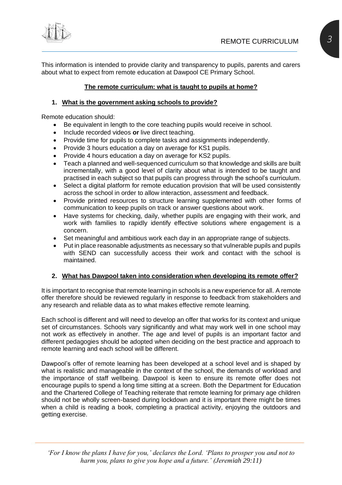

This information is intended to provide clarity and transparency to pupils, parents and carers about what to expect from remote education at Dawpool CE Primary School.

#### **The remote curriculum: what is taught to pupils at home?**

#### <span id="page-2-0"></span>**1. What is the government asking schools to provide?**

Remote education should:

- Be equivalent in length to the core teaching pupils would receive in school.
- Include recorded videos **or** live direct teaching.
- Provide time for pupils to complete tasks and assignments independently.
- Provide 3 hours education a day on average for KS1 pupils.
- Provide 4 hours education a day on average for KS2 pupils.
- Teach a planned and well-sequenced curriculum so that knowledge and skills are built incrementally, with a good level of clarity about what is intended to be taught and practised in each subject so that pupils can progress through the school's curriculum.
- Select a digital platform for remote education provision that will be used consistently across the school in order to allow interaction, assessment and feedback.
- Provide printed resources to structure learning supplemented with other forms of communication to keep pupils on track or answer questions about work.
- Have systems for checking, daily, whether pupils are engaging with their work, and work with families to rapidly identify effective solutions where engagement is a concern.
- Set meaningful and ambitious work each day in an appropriate range of subjects.
- Put in place reasonable adjustments as necessary so that vulnerable pupils and pupils with SEND can successfully access their work and contact with the school is maintained.

#### <span id="page-2-1"></span>**2. What has Dawpool taken into consideration when developing its remote offer?**

It is important to recognise that remote learning in schools is a new experience for all. A remote offer therefore should be reviewed regularly in response to feedback from stakeholders and any research and reliable data as to what makes effective remote learning.

Each school is different and will need to develop an offer that works for its context and unique set of circumstances. Schools vary significantly and what may work well in one school may not work as effectively in another. The age and level of pupils is an important factor and different pedagogies should be adopted when deciding on the best practice and approach to remote learning and each school will be different.

Dawpool's offer of remote learning has been developed at a school level and is shaped by what is realistic and manageable in the context of the school, the demands of workload and the importance of staff wellbeing. Dawpool is keen to ensure its remote offer does not encourage pupils to spend a long time sitting at a screen. Both the Department for Education and the Chartered College of Teaching reiterate that remote learning for primary age children should not be wholly screen-based during lockdown and it is important there might be times when a child is reading a book, completing a practical activity, enjoying the outdoors and getting exercise.

*'For I know the plans I have for you,' declares the Lord. 'Plans to prosper you and not to harm you, plans to give you hope and a future.' (Jeremiah 29:11)*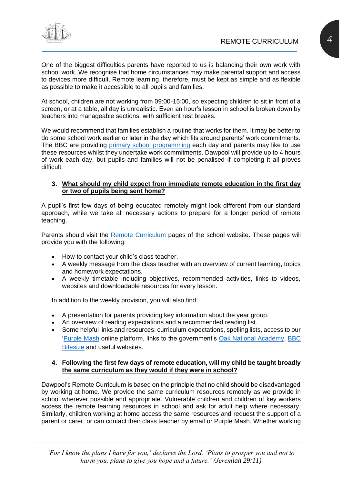

One of the biggest difficulties parents have reported to us is balancing their own work with school work. We recognise that home circumstances may make parental support and access to devices more difficult. Remote learning, therefore, must be kept as simple and as flexible as possible to make it accessible to all pupils and families.

At school, children are not working from 09:00-15:00, so expecting children to sit in front of a screen, or at a table, all day is unrealistic. Even an hour's lesson in school is broken down by teachers into manageable sections, with sufficient rest breaks.

We would recommend that families establish a routine that works for them. It may be better to do some school work earlier or later in the day which fits around parents' work commitments. The BBC are providing [primary school programming](https://www.bbc.co.uk/news/education-55591821) each day and parents may like to use these resources whilst they undertake work commitments. Dawpool will provide up to 4 hours of work each day, but pupils and families will not be penalised if completing it all proves difficult.

#### <span id="page-3-0"></span>**3. What should my child expect from immediate remote education in the first day or two of pupils being sent home?**

A pupil's first few days of being educated remotely might look different from our standard approach, while we take all necessary actions to prepare for a longer period of remote teaching.

Parents should visit the [Remote Curriculum](https://www.dawpool.wirral.sch.uk/website/the_remote_curriculum/508806) pages of the school website. These pages will provide you with the following:

- How to contact your child's class teacher.
- A weekly message from the class teacher with an overview of current learning, topics and homework expectations.
- A weekly timetable including objectives, recommended activities, links to videos, websites and downloadable resources for every lesson.

In addition to the weekly provision, you will also find:

- A presentation for parents providing key information about the year group.
- An overview of reading expectations and a recommended reading list.
- Some helpful links and resources: curriculum expectations, spelling lists, access to our ['Purple Mash](file:///C:/Users/davidburrows/Desktop/Purple%20Mash) online platform, links to the government's [Oak National Academy,](https://www.thenational.academy/) [BBC](https://www.bbc.co.uk/bitesize)  [Bitesize](https://www.bbc.co.uk/bitesize) and useful websites.

#### <span id="page-3-1"></span>**4. Following the first few days of remote education, will my child be taught broadly the same curriculum as they would if they were in school?**

Dawpool's Remote Curriculum is based on the principle that no child should be disadvantaged by working at home. We provide the same curriculum resources remotely as we provide in school wherever possible and appropriate. Vulnerable children and children of key workers access the remote learning resources in school and ask for adult help where necessary. Similarly, children working at home access the same resources and request the support of a parent or carer, or can contact their class teacher by email or Purple Mash. Whether working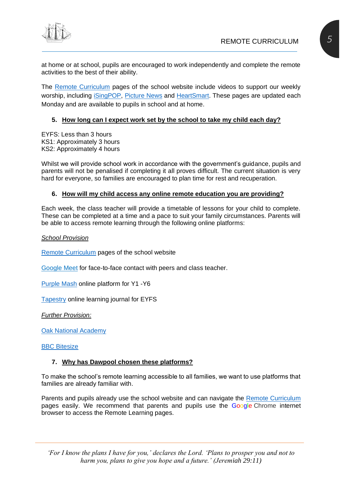at home or at school, pupils are encouraged to work independently and complete the remote activities to the best of their ability.

The [Remote Curriculum](https://www.dawpool.wirral.sch.uk/website/the_remote_curriculum/508806) pages of the school website include videos to support our weekly worship, including [iSingPOP,](https://www.dawpool.wirral.sch.uk/website/this_weeks_isingpop_worship__activities/534020) [Picture News](https://www.dawpool.wirral.sch.uk/website/this_weeks_picture_news_assembly__activities/534017) and [HeartSmart.](https://www.dawpool.wirral.sch.uk/website/this_weeks_heartsmart_video/535492) These pages are updated each Monday and are available to pupils in school and at home.

#### <span id="page-4-0"></span>**5. How long can I expect work set by the school to take my child each day?**

EYFS: Less than 3 hours KS1: Approximately 3 hours KS2: Approximately 4 hours

Whilst we will provide school work in accordance with the government's guidance, pupils and parents will not be penalised if completing it all proves difficult. The current situation is very hard for everyone, so families are encouraged to plan time for rest and recuperation.

#### <span id="page-4-1"></span>**6. How will my child access any online remote education you are providing?**

Each week, the class teacher will provide a timetable of lessons for your child to complete. These can be completed at a time and a pace to suit your family circumstances. Parents will be able to access remote learning through the following online platforms:

*School Provision*

[Remote Curriculum](https://www.dawpool.wirral.sch.uk/website/the_remote_curriculum/508806) pages of the school website

Google Meet for face-to-face contact with peers and class teacher.

[Purple Mash](https://www.purplemash.com/sch/dawpool) online platform for Y1 -Y6

[Tapestry](https://tapestryjournal.com/) online learning journal for EYFS

*Further Provision:*

[Oak National Academy](https://www.thenational.academy/)

#### **[BBC Bitesize](https://www.bbc.co.uk/bitesize)**

#### <span id="page-4-2"></span>**7. Why has Dawpool chosen these platforms?**

To make the school's remote learning accessible to all families, we want to use platforms that families are already familiar with.

Parents and pupils already use the school website and can navigate the [Remote Curriculum](https://www.dawpool.wirral.sch.uk/website/the_remote_curriculum/508806) pages easily. We recommend that parents and pupils use the Google Chrome internet browser to access the Remote Learning pages.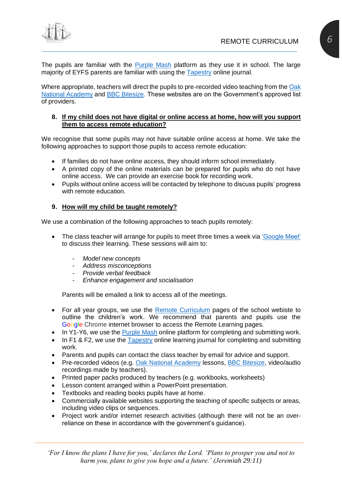

The pupils are familiar with the [Purple Mash](file:///C:/Users/mccannc/Downloads/Purple%20Mash) platform as they use it in school. The large majority of EYFS parents are familiar with using the [Tapestry](https://tapestryjournal.com/) online journal.

Where appropriate, teachers will direct the pupils to pre-recorded video teaching from the Oak [National Academy](https://www.thenational.academy/) and [BBC Bitesize.](https://www.bbc.co.uk/bitesize) These websites are on the Government's approved list of providers.

#### <span id="page-5-0"></span>**8. If my child does not have digital or online access at home, how will you support them to access remote education?**

We recognise that some pupils may not have suitable online access at home. We take the following approaches to support those pupils to access remote education:

- If families do not have online access, they should inform school immediately.
- A printed copy of the online materials can be prepared for pupils who do not have online access. We can provide an exercise book for recording work.
- Pupils without online access will be contacted by telephone to discuss pupils' progress with remote education.

#### <span id="page-5-1"></span>**9. How will my child be taught remotely?**

We use a combination of the following approaches to teach pupils remotely:

- The class teacher will arrange for pupils to meet three times a week via ['Google Meet'](#page-9-0) to discuss their learning. These sessions will aim to:
	- *Model new concepts*
	- *Address misconceptions*
	- *Provide verbal feedback*
	- *Enhance engagement and socialisation*

Parents will be emailed a link to access all of the meetings.

- For all year groups, we use the [Remote Curriculum](https://www.dawpool.wirral.sch.uk/website/the_remote_curriculum/508806) pages of the school webiste to outline the children's work. We recommend that parents and pupils use the Google Chrome internet browser to access the Remote Learning pages.
- In Y1-Y6, we use the [Purple Mash](file:///C:/Users/mccannc/Downloads/Purple%20Mash) online platform for completing and submitting work.
- In F1 & F2, we use the [Tapestry](https://tapestryjournal.com/) online learning journal for completing and submitting work.
- Parents and pupils can contact the class teacher by email for advice and support.
- Pre-recorded videos (e.g. [Oak National Academy](https://www.thenational.academy/) lessons, [BBC Bitesize,](https://www.bbc.co.uk/bitesize) video/audio recordings made by teachers).
- Printed paper packs produced by teachers (e.g. workbooks, worksheets)
- Lesson content arranged within a PowerPoint presentation.
- Textbooks and reading books pupils have at home.
- Commercially available websites supporting the teaching of specific subjects or areas, including video clips or sequences.
- Project work and/or internet research activities (although there will not be an overreliance on these in accordance with the government's guidance).

*'For I know the plans I have for you,' declares the Lord. 'Plans to prosper you and not to harm you, plans to give you hope and a future.' (Jeremiah 29:11)*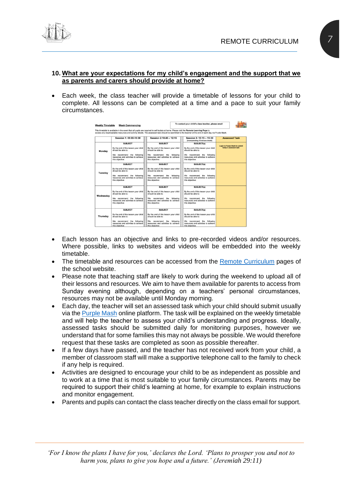

#### <span id="page-6-0"></span>**10. What are your expectations for my child's engagement and the support that we as parents and carers should provide at home?**

• Each week, the class teacher will provide a timetable of lessons for your child to complete. All lessons can be completed at a time and a pace to suit your family circumstances.

| <b>Weekly Timetable</b> | <b>Week Commencing</b>                                                                                                                                                                                                                                                                         |                                                                               |           | To contact your child's class teacher, please email                                     |                                                                 |
|-------------------------|------------------------------------------------------------------------------------------------------------------------------------------------------------------------------------------------------------------------------------------------------------------------------------------------|-------------------------------------------------------------------------------|-----------|-----------------------------------------------------------------------------------------|-----------------------------------------------------------------|
|                         | This timetable is available in the event that all pupils are required to self-isolate at home. Please visit the Remote Learning Page to<br>access any downloadable resources and activity sheets. The assessed task should be submitted to the teacher at the end of each day via Purple Mash. |                                                                               |           |                                                                                         |                                                                 |
|                         | Session 1: 09:00-10:30                                                                                                                                                                                                                                                                         | Session 2:10:45 - 12:15                                                       |           | Session 3: 13:15 - 15:30<br>(Incorporating 15-minute break)                             | <b>Assessed Task</b>                                            |
| Monday                  | <b>SURJECT</b><br>By the end of this lesson your child<br>should be able to:                                                                                                                                                                                                                   | <b>SUBJECT</b><br>By the end of this lesson your child<br>should be able to:  |           | SUBJECT(s)<br>By the end of this lesson your child<br>should be able to:                | <b>Login to Purple Mash to submit</b><br>today's assessed task: |
|                         | We recommend the following<br>resources and activities to achieve<br>this objective:                                                                                                                                                                                                           | We recommend<br>the<br>resources and activities to achieve<br>this objective: | following | We recommend the following<br>resources and activities to achieve<br>this objective:    |                                                                 |
|                         | <b>SUBJECT</b>                                                                                                                                                                                                                                                                                 | <b>SUBJECT</b>                                                                |           | SUBJECT(s)                                                                              |                                                                 |
| Tuesday                 | By the end of this lesson your child<br>should be able to:                                                                                                                                                                                                                                     | By the end of this lesson your child<br>should be able to:                    |           | By the end of this lesson your child<br>should be able to:                              |                                                                 |
|                         | We recommend the following<br>resources and activities to achieve<br>this objective:                                                                                                                                                                                                           | We recommend<br>the<br>resources and activities to achieve<br>this objective: | following | We recommend the following<br>resources and activities to achieve<br>this objective:    |                                                                 |
|                         | <b>SUBJECT</b>                                                                                                                                                                                                                                                                                 | <b>SUBJECT</b>                                                                |           | SUBJECT(s)                                                                              |                                                                 |
| Wednesday               | By the end of this lesson your child<br>should be able to:                                                                                                                                                                                                                                     | By the end of this lesson your child<br>should be able to:                    |           | By the end of this lesson your child<br>should be able to:                              |                                                                 |
|                         | We recommend the following<br>resources and activities to achieve<br>this objective:                                                                                                                                                                                                           | We recommend<br>the<br>resources and activities to achieve<br>this objective: | following | We recommend the following<br>resources and activities to achieve<br>this objective:    |                                                                 |
|                         | <b>SUBJECT</b>                                                                                                                                                                                                                                                                                 | <b>SUBJECT</b>                                                                |           | SUBJECT(s)                                                                              |                                                                 |
| Thursday                | By the end of this lesson your child<br>should be able to:                                                                                                                                                                                                                                     | By the end of this lesson your child<br>should be able to:                    |           | By the end of this lesson your child<br>should be able to:                              |                                                                 |
|                         | We recommend the following<br>resources and activities to achieve<br>this abienting.                                                                                                                                                                                                           | We recommend<br>the<br>resources and activities to achieve<br>this abiastical | following | We recommend<br>the following<br>resources and activities to achieve<br>this abiastical |                                                                 |

- Each lesson has an objective and links to pre-recorded videos and/or resources. Where possible, links to websites and videos will be embedded into the weekly timetable.
- The timetable and resources can be accessed from the [Remote Curriculum](https://www.dawpool.wirral.sch.uk/website/the_remote_curriculum/508806) pages of the school website.
- Please note that teaching staff are likely to work during the weekend to upload all of their lessons and resources. We aim to have them available for parents to access from Sunday evening although, depending on a teachers' personal circumstances, resources may not be available until Monday morning.
- Each day, the teacher will set an assessed task which your child should submit usually via the [Purple Mash](file:///C:/Users/davidburrows/Desktop/Purple%20Mash) online platform. The task will be explained on the weekly timetable and will help the teacher to assess your child's understanding and progress. Ideally, assessed tasks should be submitted daily for monitoring purposes, however we understand that for some families this may not always be possible. We would therefore request that these tasks are completed as soon as possible thereafter.
- If a few days have passed, and the teacher has not received work from your child, a member of classroom staff will make a supportive telephone call to the family to check if any help is required.
- Activities are designed to encourage your child to be as independent as possible and to work at a time that is most suitable to your family circumstances. Parents may be required to support their child's learning at home, for example to explain instructions and monitor engagement.
- Parents and pupils can contact the class teacher directly on the class email for support.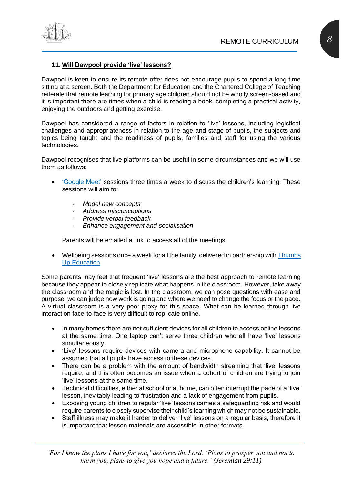

#### <span id="page-7-0"></span>**11. Will Dawpool provide 'live' lessons?**

Dawpool is keen to ensure its remote offer does not encourage pupils to spend a long time sitting at a screen. Both the Department for Education and the Chartered College of Teaching reiterate that remote learning for primary age children should not be wholly screen-based and it is important there are times when a child is reading a book, completing a practical activity, enjoying the outdoors and getting exercise.

Dawpool has considered a range of factors in relation to 'live' lessons, including logistical challenges and appropriateness in relation to the age and stage of pupils, the subjects and topics being taught and the readiness of pupils, families and staff for using the various technologies.

Dawpool recognises that live platforms can be useful in some circumstances and we will use them as follows:

- ['Google Meet'](#page-9-0) sessions three times a week to discuss the children's learning. These sessions will aim to:
	- *Model new concepts*
	- *Address misconceptions*
	- *Provide verbal feedback*
	- *Enhance engagement and socialisation*

Parents will be emailed a link to access all of the meetings.

• Wellbeing sessions once a week for all the family, delivered in partnership with Thumbs [Up Education](http://www.thumbsupprogramme.co.uk/)

Some parents may feel that frequent 'live' lessons are the best approach to remote learning because they appear to closely replicate what happens in the classroom. However, take away the classroom and the magic is lost. In the classroom, we can pose questions with ease and purpose, we can judge how work is going and where we need to change the focus or the pace. A virtual classroom is a very poor proxy for this space. What can be learned through live interaction face-to-face is very difficult to replicate online.

- In many homes there are not sufficient devices for all children to access online lessons at the same time. One laptop can't serve three children who all have 'live' lessons simultaneously.
- 'Live' lessons require devices with camera and microphone capability. It cannot be assumed that all pupils have access to these devices.
- There can be a problem with the amount of bandwidth streaming that 'live' lessons require, and this often becomes an issue when a cohort of children are trying to join 'live' lessons at the same time.
- Technical difficulties, either at school or at home, can often interrupt the pace of a 'live' lesson, inevitably leading to frustration and a lack of engagement from pupils.
- Exposing young children to regular 'live' lessons carries a safeguarding risk and would require parents to closely supervise their child's learning which may not be sustainable.
- Staff illness may make it harder to deliver 'live' lessons on a regular basis, therefore it is important that lesson materials are accessible in other formats.

*'For I know the plans I have for you,' declares the Lord. 'Plans to prosper you and not to harm you, plans to give you hope and a future.' (Jeremiah 29:11)*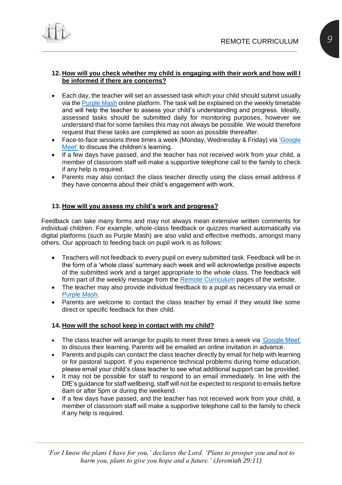

#### <span id="page-8-0"></span>**12. How will you check whether my child is engaging with their work and how will I be informed if there are concerns?**

- Each day, the teacher will set an assessed task which your child should submit usually via the [Purple Mash](file:///C:/Users/davidburrows/Desktop/Purple%20Mash) online platform. The task will be explained on the weekly timetable and will help the teacher to assess your child's understanding and progress. Ideally, assessed tasks should be submitted daily for monitoring purposes, however we understand that for some families this may not always be possible. We would therefore request that these tasks are completed as soon as possible thereafter.
- Face-to-face sessions three times a week (Monday, Wednesday & Friday) via ['Google](#page-9-0)  [Meet'](#page-9-0) to discuss the children's learning.
- If a few days have passed, and the teacher has not received work from your child, a member of classroom staff will make a supportive telephone call to the family to check if any help is required.
- Parents may also contact the class teacher directly using the class email address if they have concerns about their child's engagement with work.

#### <span id="page-8-1"></span>**13. How will you assess my child's work and progress?**

Feedback can take many forms and may not always mean extensive written comments for individual children. For example, whole-class feedback or quizzes marked automatically via digital platforms (such as Purple Mash) are also valid and effective methods, amongst many others. Our approach to feeding back on pupil work is as follows:

- Teachers will not feedback to every pupil on every submitted task. Feedback will be in the form of a 'whole class' summary each week and will acknowledge positive aspects of the submitted work and a target appropriate to the whole class. The feedback will form part of the weekly message from the [Remote Curriculum](https://www.dawpool.wirral.sch.uk/website/the_remote_curriculum/508806) pages of the website.
- The teacher may also provide individual feedback to a pupil as necessary via email or [Purple Mash.](file:///C:/Users/davidburrows/Desktop/Purple%20Mash)
- Parents are welcome to contact the class teacher by email if they would like some direct or specific feedback for their child.

#### <span id="page-8-2"></span>**14. How will the school keep in contact with my child?**

- The class teacher will arrange for pupils to meet three times a week via ['Google Meet'](#page-9-0) to discuss their learning. Parents will be emailed an online invitation in advance.
- Parents and pupils can contact the class teacher directly by email for help with learning or for pastoral support. If you experience technical problems during home education, please email your child's class teacher to see what additional support can be provided.
- It may not be possible for staff to respond to an email immediately. In line with the DfE's guidance for staff wellbeing, staff will not be expected to respond to emails before 8am or after 5pm or during the weekend.
- If a few days have passed, and the teacher has not received work from your child, a member of classroom staff will make a supportive telephone call to the family to check if any help is required.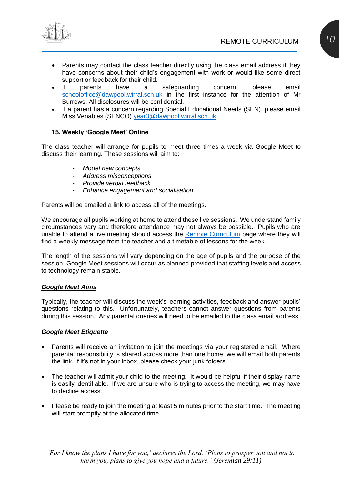

- Parents may contact the class teacher directly using the class email address if they have concerns about their child's engagement with work or would like some direct support or feedback for their child.
- If parents have a safeguarding concern, please email [schooloffice@dawpool.wirral.sch.uk](mailto:schooloffice@dawpool.wirral.sch.uk) in the first instance for the attention of Mr Burrows. All disclosures will be confidential.
- If a parent has a concern regarding Special Educational Needs (SEN), please email Miss Venables (SENCO) [year3@dawpool.wirral.sch.uk](mailto:year3@dawpool.wirral.sch.uk)

#### <span id="page-9-0"></span>**15. Weekly 'Google Meet' Online**

The class teacher will arrange for pupils to meet three times a week via Google Meet to discuss their learning. These sessions will aim to:

- *Model new concepts*
- *Address misconceptions*
- *Provide verbal feedback*
- *Enhance engagement and socialisation*

Parents will be emailed a link to access all of the meetings.

We encourage all pupils working at home to attend these live sessions. We understand family circumstances vary and therefore attendance may not always be possible. Pupils who are unable to attend a live meeting should access the [Remote Curriculum](https://www.dawpool.wirral.sch.uk/website/the_remote_curriculum/508806) page where they will find a weekly message from the teacher and a timetable of lessons for the week.

The length of the sessions will vary depending on the age of pupils and the purpose of the session. Google Meet sessions will occur as planned provided that staffing levels and access to technology remain stable.

#### *Google Meet Aims*

Typically, the teacher will discuss the week's learning activities, feedback and answer pupils' questions relating to this. Unfortunately, teachers cannot answer questions from parents during this session. Any parental queries will need to be emailed to the class email address.

#### *Google Meet Etiquette*

- Parents will receive an invitation to join the meetings via your registered email. Where parental responsibility is shared across more than one home, we will email both parents the link. If it's not in your Inbox, please check your junk folders.
- The teacher will admit your child to the meeting. It would be helpful if their display name is easily identifiable. If we are unsure who is trying to access the meeting, we may have to decline access.
- Please be ready to join the meeting at least 5 minutes prior to the start time. The meeting will start promptly at the allocated time.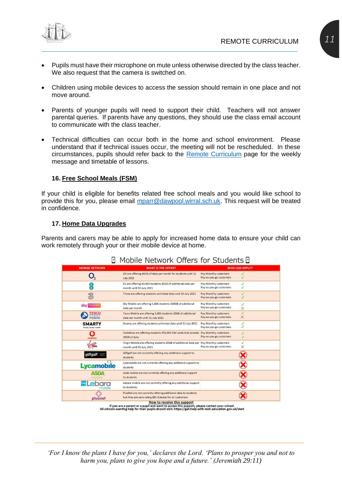

- Pupils must have their microphone on mute unless otherwise directed by the class teacher. We also request that the camera is switched on.
- Children using mobile devices to access the session should remain in one place and not move around.
- Parents of younger pupils will need to support their child. Teachers will not answer parental queries. If parents have any questions, they should use the class email account to communicate with the class teacher.
- Technical difficulties can occur both in the home and school environment. Please understand that if technical issues occur, the meeting will not be rescheduled. In these circumstances, pupils should refer back to the [Remote Curriculum](https://www.dawpool.wirral.sch.uk/website/the_remote_curriculum/508806) page for the weekly message and timetable of lessons.

#### <span id="page-10-0"></span>**16. Free School Meals (FSM)**

If your child is eligible for benefits related free school meals and you would like school to provide this for you, please email [mparr@dawpool.wirral.sch.uk.](mailto:mparr@dawpool.wirral.sch.uk) This request will be treated in confidence.

#### <span id="page-10-1"></span>**17. Home Data Upgrades**

Parents and carers may be able to apply for increased home data to ensure your child can work remotely through your or their mobile device at home.

| <b>MOBILE NETWORK</b>                  | <b>WHAT IS THE OFFER?</b>                                                                                                 | <b>WHO CAN APPLY?</b>                                      |
|----------------------------------------|---------------------------------------------------------------------------------------------------------------------------|------------------------------------------------------------|
|                                        | O2 are offering 40GB of data per month for students until 31<br><b>July 2021</b>                                          | Pay Monthly customers<br>Pay-as-you-go customers           |
| Έ                                      | EE are offering 60,000 students 20GB of additional data per<br>month until 31 July 2021                                   | Pay Monthly customers<br>Pay-as-you-go customers           |
| 3                                      | Three are offering students unlimited data until 31 July 2021                                                             | Pay Monthly customers<br>Pay-as-you-go customers           |
| sky mobile                             | Sky Mobile are offering 1,800 students 100GB of additional<br>data per month                                              | Pay Monthly customers<br>Pay-as-you-go customers<br>×      |
| <b>TESCO</b><br>mobile                 | Tesco Mobile are offering 1,000 students 20GB of additional<br>data per month until 31 July 2021                          | Pay Monthly customers<br>X<br>Pay-as-you-go customers      |
| <b>SMARTY</b><br>Simple, honest mobile | Smarty are offering students unlimited data until 31 July 2021                                                            | Pay Monthly customers<br>✓<br>✓<br>Pay-as-you-go customers |
| Ω<br>vodafone                          | Vodafone are offering students 350,000 SIM cards that provide Pay Monthly customers<br>30GB of data                       | Pay-as-you-go customers                                    |
|                                        | Virgin Mobile are offering students 20GB of additional data per Pay Monthly customers<br>month until 31 July 2021         | ×<br>Pay-as-you-go customers                               |
| giffgaff                               | Giffgaff are not currently offering any additional support to<br>students                                                 |                                                            |
| <b>Lycamobile</b>                      | Lycamobile are not currently offering any additional support to<br>students                                               |                                                            |
| mobile                                 | Asda mobile are not currently offering any additional support<br>to students                                              |                                                            |
| Lebara<br>mobile                       | Lebara mobile are not currently offering any additional support<br>to students.                                           |                                                            |
| plusnet                                | PlusNet are not currently offering additional data to students<br>but they are zero rating BBC bitesize for all customers |                                                            |

### I Mobile Notwork Offers for Ctudents II

All schools wanting help for their pupils should visit: https://get-help-with-tech.education.gov.uk/start